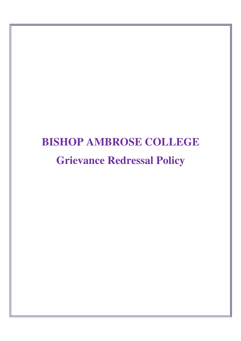# **BISHOP AMBROSE COLLEGE Grievance Redressal Policy**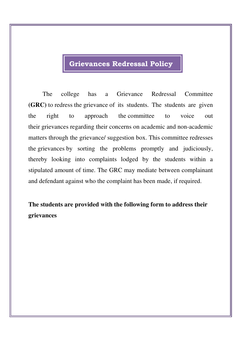## **Grievances Redressal Policy**

The college has a Grievance Redressal Committee **(GRC)** to redress the grievance of its students. The students are given the right to approach the committee to voice out their grievances regarding their concerns on academic and non-academic matters through the grievance/ suggestion box. This committee redresses the grievances by sorting the problems promptly and judiciously, thereby looking into complaints lodged by the students within a stipulated amount of time. The GRC may mediate between complainant and defendant against who the complaint has been made, if required.

**The students are provided with the following form to address their grievances**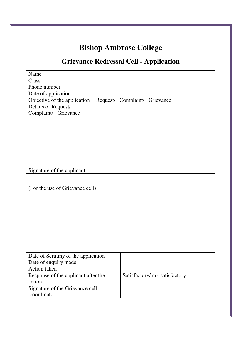# **Bishop Ambrose College**

## **Grievance Redressal Cell - Application**

| Name                         |                     |           |
|------------------------------|---------------------|-----------|
| Class                        |                     |           |
| Phone number                 |                     |           |
| Date of application          |                     |           |
| Objective of the application | Request/ Complaint/ | Grievance |
| Details of Request/          |                     |           |
| Complaint/ Grievance         |                     |           |
|                              |                     |           |
|                              |                     |           |
|                              |                     |           |
|                              |                     |           |
|                              |                     |           |
|                              |                     |           |
|                              |                     |           |
|                              |                     |           |
| Signature of the applicant   |                     |           |

(For the use of Grievance cell)

| Satisfactory/not satisfactory |
|-------------------------------|
|                               |
|                               |
|                               |
|                               |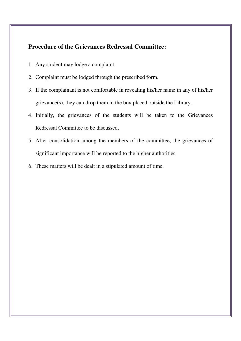#### **Procedure of the Grievances Redressal Committee:**

- 1. Any student may lodge a complaint.
- 2. Complaint must be lodged through the prescribed form.
- 3. If the complainant is not comfortable in revealing his/her name in any of his/her grievance(s), they can drop them in the box placed outside the Library.
- 4. Initially, the grievances of the students will be taken to the Grievances Redressal Committee to be discussed.
- 5. After consolidation among the members of the committee, the grievances of significant importance will be reported to the higher authorities.
- 6. These matters will be dealt in a stipulated amount of time.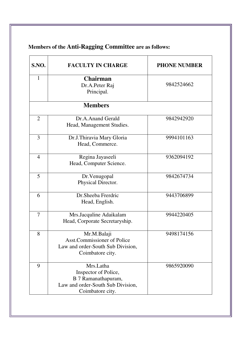| <b>S.NO.</b>   | <b>FACULTY IN CHARGE</b>                                                                                          | <b>PHONE NUMBER</b> |
|----------------|-------------------------------------------------------------------------------------------------------------------|---------------------|
| 1              | <b>Chairman</b><br>Dr.A.Peter Raj<br>Principal.                                                                   | 9842524662          |
|                | <b>Members</b>                                                                                                    |                     |
| $\overline{2}$ | Dr.A.Anand Gerald<br>Head, Management Studies.                                                                    | 9842942920          |
| 3              | Dr.J.Thiravia Mary Gloria<br>Head, Commerce.                                                                      | 9994101163          |
| $\overline{4}$ | Regina Jayaseeli<br>Head, Computer Science.                                                                       | 9362094192          |
| 5              | Dr.Venugopal<br>Physical Director.                                                                                | 9842674734          |
| 6              | Dr.Sheeba Frerdric<br>Head, English.                                                                              | 9443706899          |
| 7              | Mrs.Jacquline Adaikalam<br>Head, Corporate Secretaryship.                                                         | 9944220405          |
| 8              | Mr.M.Balaji<br><b>Asst.Commissioner of Police</b><br>Law and order-South Sub Division,<br>Coimbatore city.        | 9498174156          |
| 9              | Mrs.Latha<br>Inspector of Police,<br>B 7 Ramanathapuram,<br>Law and order-South Sub Division,<br>Coimbatore city. | 9865920090          |

## **Members of the Anti-Ragging Committee are as follows:**